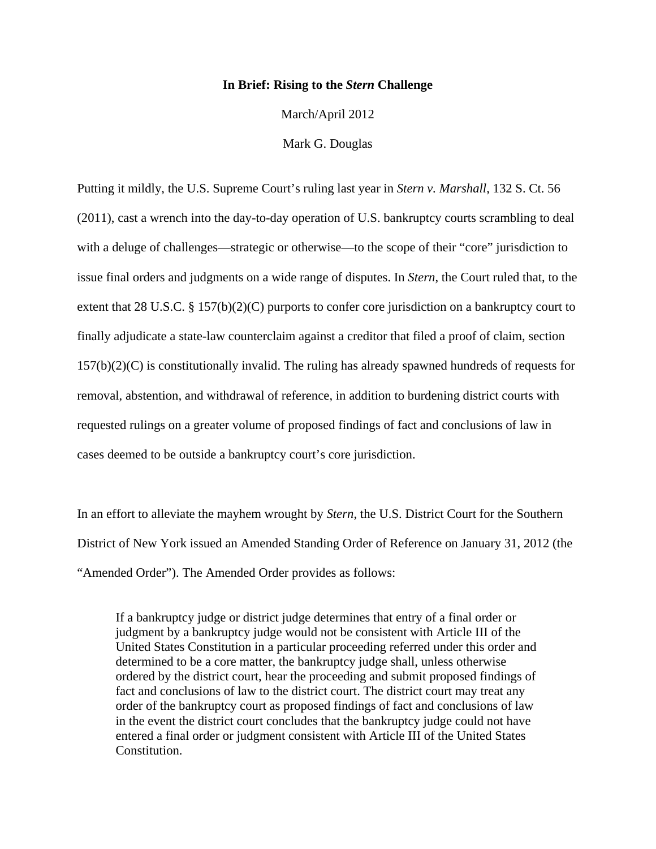## **In Brief: Rising to the** *Stern* **Challenge**

March/April 2012

Mark G. Douglas

Putting it mildly, the U.S. Supreme Court's ruling last year in *Stern v. Marshall*, 132 S. Ct. 56 (2011), cast a wrench into the day-to-day operation of U.S. bankruptcy courts scrambling to deal with a deluge of challenges—strategic or otherwise—to the scope of their "core" jurisdiction to issue final orders and judgments on a wide range of disputes. In *Stern*, the Court ruled that, to the extent that 28 U.S.C. § 157(b)(2)(C) purports to confer core jurisdiction on a bankruptcy court to finally adjudicate a state-law counterclaim against a creditor that filed a proof of claim, section 157(b)(2)(C) is constitutionally invalid. The ruling has already spawned hundreds of requests for removal, abstention, and withdrawal of reference, in addition to burdening district courts with requested rulings on a greater volume of proposed findings of fact and conclusions of law in cases deemed to be outside a bankruptcy court's core jurisdiction.

In an effort to alleviate the mayhem wrought by *Stern*, the U.S. District Court for the Southern District of New York issued an Amended Standing Order of Reference on January 31, 2012 (the "Amended Order"). The Amended Order provides as follows:

If a bankruptcy judge or district judge determines that entry of a final order or judgment by a bankruptcy judge would not be consistent with Article III of the United States Constitution in a particular proceeding referred under this order and determined to be a core matter, the bankruptcy judge shall, unless otherwise ordered by the district court, hear the proceeding and submit proposed findings of fact and conclusions of law to the district court. The district court may treat any order of the bankruptcy court as proposed findings of fact and conclusions of law in the event the district court concludes that the bankruptcy judge could not have entered a final order or judgment consistent with Article III of the United States Constitution.